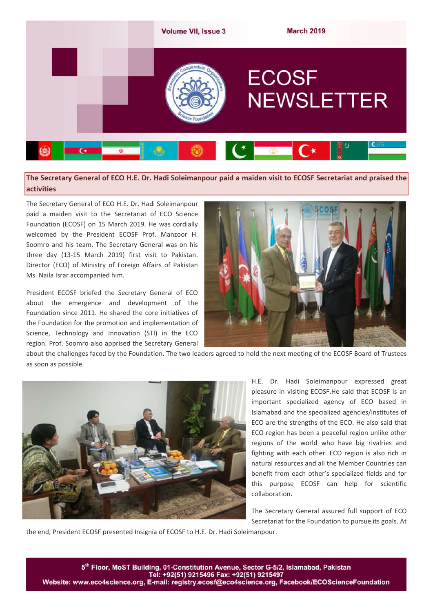

**The Secretary General of ECO H.E. Dr. Hadi Soleimanpour paid a maiden visit to ECOSF Secretariat and praised the activities**

The Secretary General of ECO H.E. Dr. Hadi Soleimanpour paid a maiden visit to the Secretariat of ECO Science Foundation (ECOSF) on 15 March 2019. He was cordially welcomed by the President ECOSF Prof. Manzoor H. Soomro and his team. The Secretary General was on his three day (13-15 March 2019) first visit to Pakistan. Director (ECO) of Ministry of Foreign Affairs of Pakistan Ms. Naila Israr accompanied him.

President ECOSF briefed the Secretary General of ECO about the emergence and development of the Foundation since 2011. He shared the core initiatives of the Foundation for the promotion and implementation of Science, Technology and Innovation (STI) in the ECO region. Prof. Soomro also apprised the Secretary General



about the challenges faced by the Foundation. The two leaders agreed to hold the next meeting of the ECOSF Board of Trustees as soon as possible.



H.E. Dr. Hadi Soleimanpour expressed great pleasure in visiting ECOSF.He said that ECOSF is an important specialized agency of ECO based in Islamabad and the specialized agencies/institutes of ECO are the strengths of the ECO. He also said that ECO region has been a peaceful region unlike other regions of the world who have big rivalries and fighting with each other. ECO region is also rich in natural resources and all the Member Countries can benefit from each other's specialized fields and for this purpose ECOSF can help for scientific collaboration.

The Secretary General assured full support of ECO Secretariat for the Foundation to pursue its goals. At

the end, President ECOSF presented Insignia of ECOSF to H.E. Dr. Hadi Soleimanpour.

5th Floor, MoST Building, 01-Constitution Avenue, Sector G-5/2, Islamabad, Pakistan Website: www.eco4science.org, E-mail: registry.ecosf@eco4science.org, Facebook/ECOScienceFoundation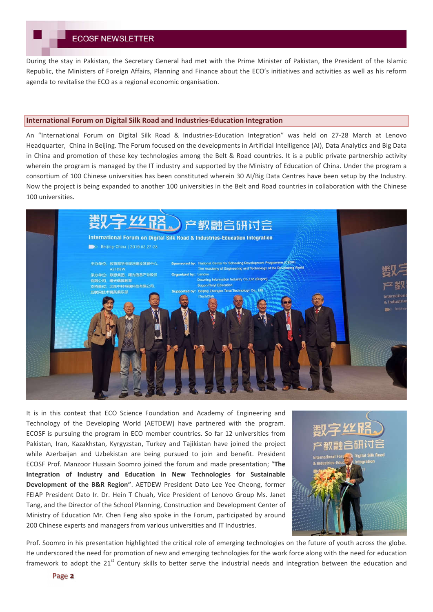During the stay in Pakistan, the Secretary General had met with the Prime Minister of Pakistan, the President of the Islamic Republic, the Ministers of Foreign Affairs, Planning and Finance about the ECO's initiatives and activities as well as his reform agenda to revitalise the ECO as a regional economic organisation.

### **International Forum on Digital Silk Road and Industries-Education Integration**

An "International Forum on Digital Silk Road & Industries-Education Integration" was held on 27-28 March at Lenovo Headquarter, China in Beijing. The Forum focused on the developments in Artificial Intelligence (AI), Data Analytics and Big Data in China and promotion of these key technologies among the Belt & Road countries. It is a public private partnership activity wherein the program is managed by the IT industry and supported by the Ministry of Education of China. Under the program a consortium of 100 Chinese universities has been constituted wherein 30 AI/Big Data Centres have been setup by the Industry. Now the project is being expanded to another 100 universities in the Belt and Road countries in collaboration with the Chinese 100 universities.



It is in this context that ECO Science Foundation and Academy of Engineering and Technology of the Developing World (AETDEW) have partnered with the program. ECOSF is pursuing the program in ECO member countries. So far 12 universities from Pakistan, Iran, Kazakhstan, Kyrgyzstan, Turkey and Tajikistan have joined the project while Azerbaijan and Uzbekistan are being pursued to join and benefit. President ECOSF Prof. Manzoor Hussain Soomro joined the forum and made presentation; "**The Integration of Industry and Education in New Technologies for Sustainable Development of the B&R Region"**. AETDEW President Dato Lee Yee Cheong, former FEIAP President Dato Ir. Dr. Hein T Chuah, Vice President of Lenovo Group Ms. Janet Tang, and the Director of the School Planning, Construction and Development Center of Ministry of Education Mr. Chen Feng also spoke in the Forum, participated by around 200 Chinese experts and managers from various universities and IT Industries.



Prof. Soomro in his presentation highlighted the critical role of emerging technologies on the future of youth across the globe. He underscored the need for promotion of new and emerging technologies for the work force along with the need for education framework to adopt the  $21<sup>st</sup>$  Century skills to better serve the industrial needs and integration between the education and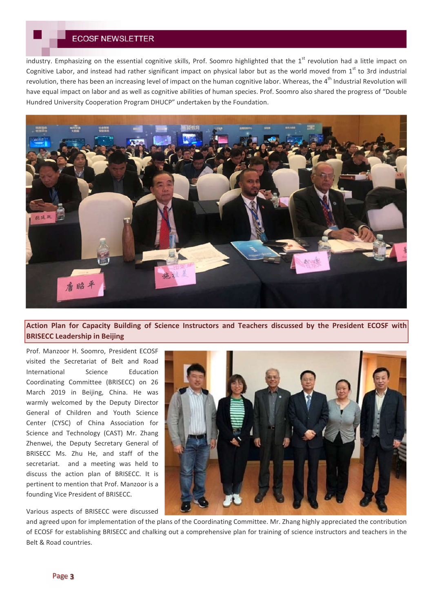industry. Emphasizing on the essential cognitive skills, Prof. Soomro highlighted that the  $1<sup>st</sup>$  revolution had a little impact on Cognitive Labor, and instead had rather significant impact on physical labor but as the world moved from  $1<sup>st</sup>$  to 3rd industrial revolution, there has been an increasing level of impact on the human cognitive labor. Whereas, the 4<sup>th</sup> Industrial Revolution will have equal impact on labor and as well as cognitive abilities of human species. Prof. Soomro also shared the progress of "Double Hundred University Cooperation Program DHUCP" undertaken by the Foundation.



# **Action Plan for Capacity Building of Science Instructors and Teachers discussed by the President ECOSF with BRISECC Leadership in Beijing**

Prof. Manzoor H. Soomro, President ECOSF visited the Secretariat of Belt and Road International Science Education Coordinating Committee (BRISECC) on 26 March 2019 in Beijing, China. He was warmly welcomed by the Deputy Director General of Children and Youth Science Center (CYSC) of China Association for Science and Technology (CAST) Mr. Zhang Zhenwei, the Deputy Secretary General of BRISECC Ms. Zhu He, and staff of the secretariat. and a meeting was held to discuss the action plan of BRISECC. It is pertinent to mention that Prof. Manzoor is a founding Vice President of BRISECC.

Various aspects of BRISECC were discussed

and agreed upon for implementation of the plans of the Coordinating Committee. Mr. Zhang highly appreciated the contribution of ECOSF for establishing BRISECC and chalking out a comprehensive plan for training of science instructors and teachers in the Belt & Road countries.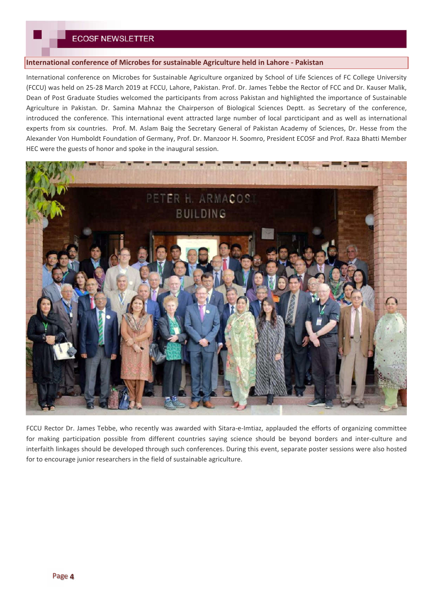## **International conference of Microbes for sustainable Agriculture held in Lahore - Pakistan**

International conference on Microbes for Sustainable Agriculture organized by School of Life Sciences of FC College University (FCCU) was held on 25-28 March 2019 at FCCU, Lahore, Pakistan. Prof. Dr. James Tebbe the Rector of FCC and Dr. Kauser Malik, Dean of Post Graduate Studies welcomed the participants from across Pakistan and highlighted the importance of Sustainable Agriculture in Pakistan. Dr. Samina Mahnaz the Chairperson of Biological Sciences Deptt. as Secretary of the conference, introduced the conference. This international event attracted large number of local parcticipant and as well as international experts from six countries. Prof. M. Aslam Baig the Secretary General of Pakistan Academy of Sciences, Dr. Hesse from the Alexander Von Humboldt Foundation of Germany, Prof. Dr. Manzoor H. Soomro, President ECOSF and Prof. Raza Bhatti Member HEC were the guests of honor and spoke in the inaugural session.



FCCU Rector Dr. James Tebbe, who recently was awarded with Sitara-e-Imtiaz, applauded the efforts of organizing committee for making participation possible from different countries saying science should be beyond borders and inter-culture and interfaith linkages should be developed through such conferences. During this event, separate poster sessions were also hosted for to encourage junior researchers in the field of sustainable agriculture.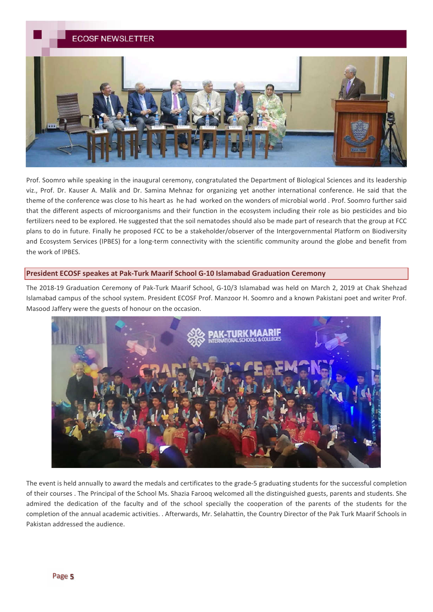

Prof. Soomro while speaking in the inaugural ceremony, congratulated the Department of Biological Sciences and its leadership viz., Prof. Dr. Kauser A. Malik and Dr. Samina Mehnaz for organizing yet another international conference. He said that the theme of the conference was close to his heart as he had worked on the wonders of microbial world . Prof. Soomro further said that the different aspects of microorganisms and their function in the ecosystem including their role as bio pesticides and bio fertilizers need to be explored. He suggested that the soil nematodes should also be made part of research that the group at FCC plans to do in future. Finally he proposed FCC to be a stakeholder/observer of the Intergovernmental Platform on Biodiversity and Ecosystem Services (IPBES) for a long-term connectivity with the scientific community around the globe and benefit from the work of IPBES.

## **President ECOSF speakes at Pak-Turk Maarif School G-10 Islamabad Graduation Ceremony**

The 2018-19 Graduation Ceremony of Pak-Turk Maarif School, G-10/3 Islamabad was held on March 2, 2019 at Chak Shehzad Islamabad campus of the school system. President ECOSF Prof. Manzoor H. Soomro and a known Pakistani poet and writer Prof. Masood Jaffery were the guests of honour on the occasion.



The event is held annually to award the medals and certificates to the grade-5 graduating students for the successful completion of their courses . The Principal of the School Ms. Shazia Farooq welcomed all the distinguished guests, parents and students. She admired the dedication of the faculty and of the school specially the cooperation of the parents of the students for the completion of the annual academic activities. . Afterwards, Mr. Selahattin, the Country Director of the Pak Turk Maarif Schools in Pakistan addressed the audience.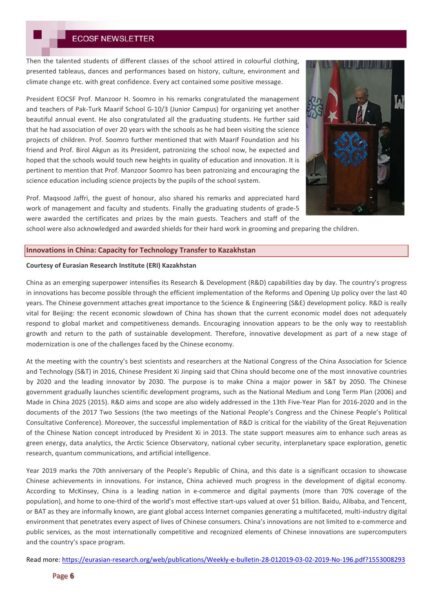Then the talented students of different classes of the school attired in colourful clothing, presented tableaus, dances and performances based on history, culture, environment and climate change etc. with great confidence. Every act contained some positive message.

President EOCSF Prof. Manzoor H. Soomro in his remarks congratulated the management and teachers of Pak-Turk Maarif School G-10/3 (Junior Campus) for organizing yet another beautiful annual event. He also congratulated all the graduating students. He further said that he had association of over 20 years with the schools as he had been visiting the science projects of children. Prof. Soomro further mentioned that with Maarif Foundation and his friend and Prof. Birol Akgun as its President, patronizing the school now, he expected and hoped that the schools would touch new heights in quality of education and innovation. It is pertinent to mention that Prof. Manzoor Soomro has been patronizing and encouraging the science education including science projects by the pupils of the school system.

Prof. Maqsood Jaffri, the guest of honour, also shared his remarks and appreciated hard work of management and faculty and students. Finally the graduating students of grade-5 were awarded the certificates and prizes by the main guests. Teachers and staff of the



### **Innovations in China: Capacity for Technology Transfer to Kazakhstan**

### **Courtesy of Eurasian Research Institute (ERI) Kazakhstan**

China as an emerging superpower intensifies its Research & Development (R&D) capabilities day by day. The country's progress in innovations has become possible through the efficient implementation of the Reforms and Opening Up policy over the last 40 years. The Chinese government attaches great importance to the Science & Engineering (S&E) development policy. R&D is really vital for Beijing: the recent economic slowdown of China has shown that the current economic model does not adequately respond to global market and competitiveness demands. Encouraging innovation appears to be the only way to reestablish growth and return to the path of sustainable development. Therefore, innovative development as part of a new stage of modernization is one of the challenges faced by the Chinese economy.

At the meeting with the country's best scientists and researchers at the National Congress of the China Association for Science and Technology (S&T) in 2016, Chinese President Xi Jinping said that China should become one of the most innovative countries by 2020 and the leading innovator by 2030. The purpose is to make China a major power in S&T by 2050. The Chinese government gradually launches scientific development programs, such as the National Medium and Long Term Plan (2006) and Made in China 2025 (2015). R&D aims and scope are also widely addressed in the 13th Five-Year Plan for 2016-2020 and in the documents of the 2017 Two Sessions (the two meetings of the National People's Congress and the Chinese People's Political Consultative Conference). Moreover, the successful implementation of R&D is critical for the viability of the Great Rejuvenation of the Chinese Nation concept introduced by President Xi in 2013. The state support measures aim to enhance such areas as green energy, data analytics, the Arctic Science Observatory, national cyber security, interplanetary space exploration, genetic research, quantum communications, and artificial intelligence.

Year 2019 marks the 70th anniversary of the People's Republic of China, and this date is a significant occasion to showcase Chinese achievements in innovations. For instance, China achieved much progress in the development of digital economy. According to McKinsey, China is a leading nation in e-commerce and digital payments (more than 70% coverage of the population), and home to one-third of the world's most effective start-ups valued at over \$1 billion. Baidu, Alibaba, and Tencent, or BAT as they are informally known, are giant global access Internet companies generating a multifaceted, multi-industry digital environment that penetrates every aspect of lives of Chinese consumers. China's innovations are not limited to e-commerce and public services, as the most internationally competitive and recognized elements of Chinese innovations are supercomputers and the country's space program.

Read more: https://eurasian-research.org/web/publications/Weekly-e-bulletin-28-012019-03-02-2019-No-196.pdf?1553008293

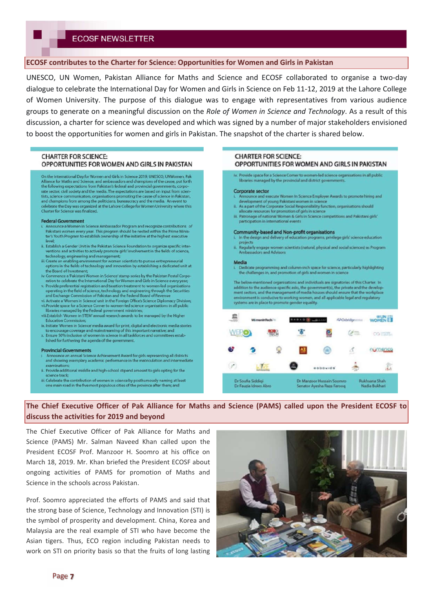## **ECOSF contributes to the Charter for Science: Opportunities for Women and Girls in Pakistan**

UNESCO, UN Women, Pakistan Alliance for Maths and Science and ECOSF collaborated to organise a two-day dialogue to celebrate the International Day for Women and Girls in Science on Feb 11-12, 2019 at the Lahore College of Women University. The purpose of this dialogue was to engage with representatives from various audience groups to generate on a meaningful discussion on the *Role of Women in Science and Technology*. As a result of this discussion, a charter for science was developed and which was signed by a number of major stakeholders envisioned to boost the opportunities for women and girls in Pakistan. The snapshot of the charter is shared below.

### **CHARTER FOR SCIENCE:** OPPORTUNITIES FOR WOMEN AND GIRLS IN PAKISTAN

On the International Day for Women and Girls in Science 2019, UNESCO, UNWomen, Pak Alliance for Maths and Science, and ambassadors and champions of the cause, put forth<br>the following expectations from Pakistan's federal and provincial governments, corpothe following expectations from Pakistan's federal and provincial governments, corportively and the media. The expectations are based on input from scientists, science communicators, organisations promoting the cause of sc

### **Federal Government**

- **ederal Government**<br>Announce a Women in Science Ambassador Program and recognize contributions of<br>Pakistani women every year. This program should be nested within the Prime Minis-<br>ter's Youth Program to establish ownership
- $\ddot{\text{n}}$ . Establish a Gender Unit in the Pakistan Science Foundation to organize specific interventions and activities to actively promote girls' involvement in the fields of science,
- technology, engineering and management:<br>i. Create an enabling environment for women scientists to pursue entrepreneurial<br>options in the fields of technology and innovation by establishing a dedicated unit at iii Co the Board of Investment;<br>iv. Commence a 'Pakistani Women in Science' stamp series by the Pakistan Postal Corpo-
- iv. Commence a Pakistani Women in Science' stamp series by the Pakistan Postal Corporation to celebrate the International Day for Women and Girls in Science every year,<br>Provide preferential registration and taxation treatm
- 
- viii.Establish 'Women in STEM' annual research awards to be managed by the Higher **Education Commission:**
- ix. Initiate 'Women in Science' media award for print, digital and electronic media stories to encourage coverage and mainstreaming of this important narrative; and<br>x. Ensure 50% inclusion of women in science in all taskforces and committees estab-
- lished for furthering the agenda of the govern

#### **Provincial Governments**

- Announce an annual Science Achievement Award for girls representing all districts and showing exemplary academic performance in the matriculation are dintern
- ii. Provide additional middle and high-school stipend amount to girls opting for the
- succeeding at least<br>iii. Celebrate the contribution of women in science by posthumously naming at least<br>one main road in the five most populous cities of the province after them; and

## **CHARTER FOR SCIENCE:** OPPORTUNITIES FOR WOMEN AND GIRLS IN PAKISTAN

iv. Provide space for a Science Corner to women-led science organisations in all public libraries managed by the provincial and district governme

#### Corporate sector

- inounce and execute Women In Science Employer Awards to promote hiring and
- development of young Pakistani women in science<br>
ii. As a part of the Corporate Social Responsibility function, organisations should<br>
allocate resources for promotion of girls in science<br>
iii. Patronage of national Women &
- participation in international exents

#### Community-based and Non-profit organisations

- ograms, privilege girls' science education In the de n and delivery of education pr
- Regularly engage women scientists (natural, physical and social sciences) as Program<br>Ambassadors and Advisors

#### **Media**

Dedicate programming and column-inch space for science, particularly highlighting the challenges in, and promotion of girls and women in scie

The below-mentioned organisations and individuals are signatories of this Charter. In The option to the audience-specific asks, the government(s), the private and the development sectors, and the management of media houses should ensure that the workplace environment is conductive to working women, and all systems are in place to promote gender equality.

|                                            | <b>Winnersteil</b> |             | <b>BAD</b>                                              |                 | <b>MOrbidge</b> | WOMEN ET                       |  |
|--------------------------------------------|--------------------|-------------|---------------------------------------------------------|-----------------|-----------------|--------------------------------|--|
| WERO                                       |                    | <b>TEGH</b> |                                                         |                 | $\mathcal{C}$   | CO FETTA                       |  |
|                                            |                    | ω           | 醋                                                       | Θ               | ₫<br>$\sim$     | UCOROSS                        |  |
| 9                                          |                    | ÷           | e                                                       | <b>RODOWICS</b> | $rac{1}{2}$     | da                             |  |
| Dr Soufia Siddigi<br>Dr Fauzia Idrees Abro |                    |             | Dr Manzoor Hussain Soomro<br>Senator Ayesha Raza Faroog |                 |                 | Rukhsana Shah<br>Nadia Bukhari |  |

# **The Chief Executive Officer of Pak Alliance for Maths and Science (PAMS) called upon the President ECOSF to discuss the activities for 2019 and beyond**

The Chief Executive Officer of Pak Alliance for Maths and Science (PAMS) Mr. Salman Naveed Khan called upon the President ECOSF Prof. Manzoor H. Soomro at his office on March 18, 2019. Mr. Khan briefed the President ECOSF about ongoing activities of PAMS for promotion of Maths and Science in the schools across Pakistan.

Prof. Soomro appreciated the efforts of PAMS and said that the strong base of Science, Technology and Innovation (STI) is the symbol of prosperity and development. China, Korea and Malaysia are the real example of STI who have become the Asian tigers. Thus, ECO region including Pakistan needs to work on STI on priority basis so that the fruits of long lasting